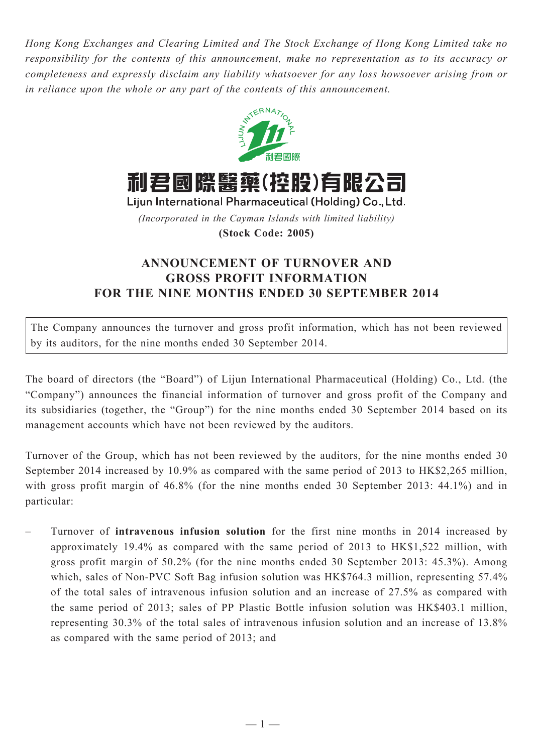*Hong Kong Exchanges and Clearing Limited and The Stock Exchange of Hong Kong Limited take no responsibility for the contents of this announcement, make no representation as to its accuracy or completeness and expressly disclaim any liability whatsoever for any loss howsoever arising from or in reliance upon the whole or any part of the contents of this announcement.*



利君國際醫藥(控股)有限公司

Lijun International Pharmaceutical (Holding) Co., Ltd. *(Incorporated in the Cayman Islands with limited liability)*

**(Stock Code: 2005)**

## **ANNOUNCEMENT OF TURNOVER AND GROSS PROFIT INFORMATION FOR THE nine MONTHS ENDED 30 September 2014**

The Company announces the turnover and gross profit information, which has not been reviewed by its auditors, for the nine months ended 30 September 2014.

The board of directors (the "Board") of Lijun International Pharmaceutical (Holding) Co., Ltd. (the "Company") announces the financial information of turnover and gross profit of the Company and its subsidiaries (together, the "Group") for the nine months ended 30 September 2014 based on its management accounts which have not been reviewed by the auditors.

Turnover of the Group, which has not been reviewed by the auditors, for the nine months ended 30 September 2014 increased by 10.9% as compared with the same period of 2013 to HK\$2,265 million, with gross profit margin of 46.8% (for the nine months ended 30 September 2013: 44.1%) and in particular:

– Turnover of **intravenous infusion solution** for the first nine months in 2014 increased by approximately 19.4% as compared with the same period of 2013 to HK\$1,522 million, with gross profit margin of 50.2% (for the nine months ended 30 September 2013: 45.3%). Among which, sales of Non-PVC Soft Bag infusion solution was HK\$764.3 million, representing 57.4% of the total sales of intravenous infusion solution and an increase of 27.5% as compared with the same period of 2013; sales of PP Plastic Bottle infusion solution was HK\$403.1 million, representing 30.3% of the total sales of intravenous infusion solution and an increase of 13.8% as compared with the same period of 2013; and